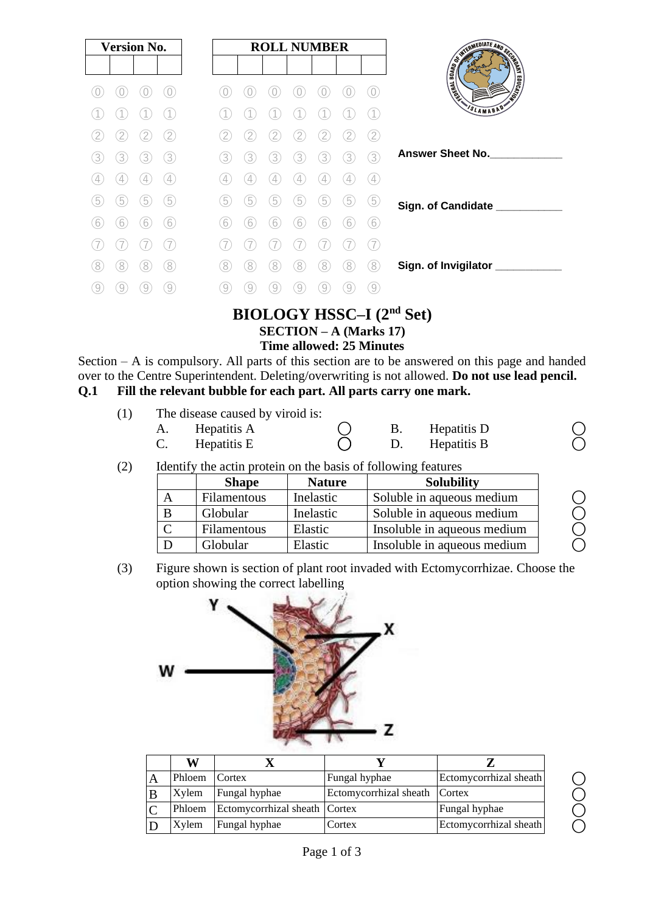| <b>Version No.</b>                            |                                                   | <b>ROLL NUMBER</b>               |                             |
|-----------------------------------------------|---------------------------------------------------|----------------------------------|-----------------------------|
|                                               |                                                   |                                  |                             |
|                                               |                                                   |                                  | AND RESIDENCE AND RESIDENCE |
|                                               |                                                   |                                  | VSLAMABAD                   |
| 2                                             | $\overline{2}$<br>2                               | (2)                              |                             |
| 3)<br>3.<br>3.<br>3                           | 3<br>3)<br>3                                      | 3)<br>3<br>(3)<br>3              | <b>Answer Sheet No.</b>     |
| $\left( 4\right)$<br>$\overline{4}$<br>4<br>4 | $\frac{1}{2}$<br>$\overline{4}$<br>$\overline{4}$ | $\left( 4\right)$<br>4<br>4<br>4 |                             |
| 5<br>5<br>5<br>5                              | 5<br>5<br>5                                       | 5<br>5<br>5<br>5                 | Sign. of Candidate ___      |
| (6)<br>6<br>6<br>6                            | 6<br>6<br>6                                       | $6^{\circ}$<br>6<br>6<br>6       |                             |
|                                               |                                                   |                                  |                             |
| $\langle 8 \rangle$<br>8<br>8<br>8            | 8<br>8<br>8                                       | 8<br>8<br>8<br>8                 | Sign. of Invigilator        |
| 9                                             | q<br>9                                            | 9                                |                             |
|                                               |                                                   |                                  |                             |

# **BIOLOGY HSSC–I (2nd Set)**

## **SECTION – A (Marks 17)**

#### **Time allowed: 25 Minutes**

Section – A is compulsory. All parts of this section are to be answered on this page and handed over to the Centre Superintendent. Deleting/overwriting is not allowed. **Do not use lead pencil. Q.1 Fill the relevant bubble for each part. All parts carry one mark.**

| (1) | The disease caused by viroid is: |  |                |  |
|-----|----------------------------------|--|----------------|--|
|     | A. Hepatitis A                   |  | B. Hepatitis D |  |
|     | Hepatitis E                      |  | D. Hepatitis B |  |

(2) Identify the actin protein on the basis of following features

| <b>Shape</b>       | <b>Nature</b> | <b>Solubility</b>           |
|--------------------|---------------|-----------------------------|
| <b>Filamentous</b> | Inelastic     | Soluble in aqueous medium   |
| Globular           | Inelastic     | Soluble in aqueous medium   |
| Filamentous        | Elastic       | Insoluble in aqueous medium |
| Globular           | Elastic       | Insoluble in aqueous medium |

(3) Figure shown is section of plant root invaded with Ectomycorrhizae. Choose the option showing the correct labelling



| W      |                                      |                               |                        |
|--------|--------------------------------------|-------------------------------|------------------------|
| Phloem | Cortex                               | Fungal hyphae                 | Ectomycorrhizal sheath |
| Xylem  | Fungal hyphae                        | Ectomycorrhizal sheath Cortex |                        |
|        | Phloem Ectomycorrhizal sheath Cortex |                               | Fungal hyphae          |
| Xylem  | Fungal hyphae                        | Cortex                        | Ectomycorrhizal sheath |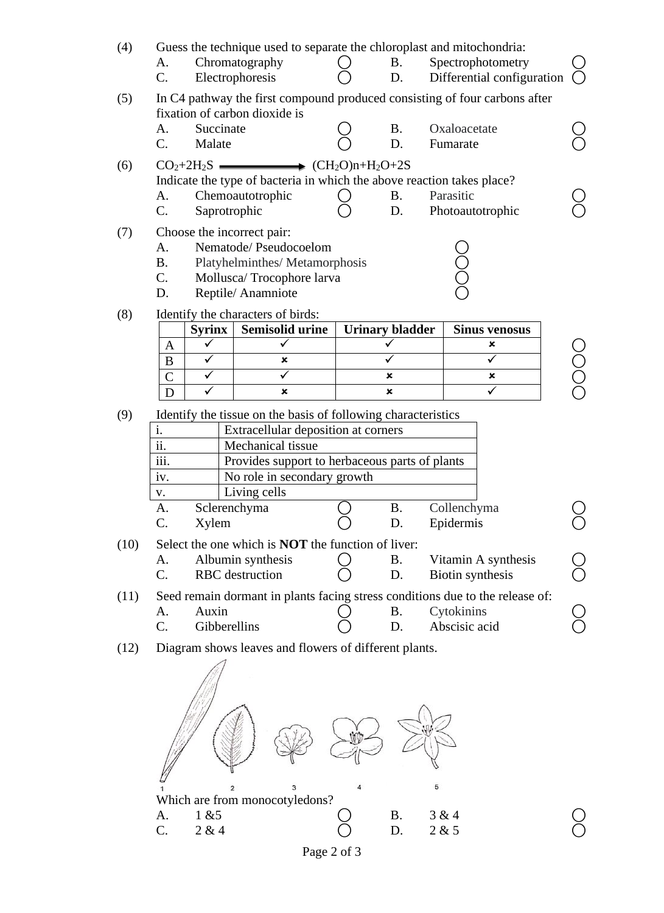| (4)  | А.<br>C.                         | Guess the technique used to separate the chloroplast and mitochondria:<br>Chromatography<br>Electrophoresis             | <b>B.</b><br>D.                        |                          | Spectrophotometry<br>Differential configuration |            |
|------|----------------------------------|-------------------------------------------------------------------------------------------------------------------------|----------------------------------------|--------------------------|-------------------------------------------------|------------|
| (5)  |                                  | In C4 pathway the first compound produced consisting of four carbons after<br>fixation of carbon dioxide is             |                                        |                          |                                                 |            |
|      | Succinate<br>А.<br>C.<br>Malate  |                                                                                                                         | <b>B.</b><br>D.                        | Oxaloacetate<br>Fumarate |                                                 |            |
| (6)  |                                  | $CO2+2H2S$ $\longrightarrow$ $(CH2O)n+H2O+2S$<br>Indicate the type of bacteria in which the above reaction takes place? |                                        |                          |                                                 |            |
|      | A.                               | Chemoautotrophic                                                                                                        | <b>B.</b>                              | Parasitic                |                                                 |            |
| (7)  | C.<br>Choose the incorrect pair: | Saprotrophic                                                                                                            | D.                                     |                          | Photoautotrophic                                |            |
|      | A.                               | Nematode/ Pseudocoelom                                                                                                  |                                        |                          |                                                 |            |
|      | <b>B.</b><br>C.                  | Platyhelminthes/Metamorphosis<br>Mollusca/Trocophore larva                                                              |                                        | CCX                      |                                                 |            |
|      | D.                               | Reptile/Anamniote                                                                                                       |                                        |                          |                                                 |            |
| (8)  |                                  | Identify the characters of birds:                                                                                       |                                        |                          |                                                 |            |
|      | <b>Syrinx</b><br>✓<br>A          | <b>Semisolid urine</b><br>✓                                                                                             | <b>Urinary bladder</b><br>$\checkmark$ |                          | <b>Sinus venosus</b><br>×                       |            |
|      | $\checkmark$<br>$\bf{B}$         | ×                                                                                                                       | ✓                                      |                          | $\checkmark$                                    | <b>DOC</b> |
|      | $\checkmark$<br>$\mathcal{C}$    |                                                                                                                         | ×                                      |                          | ×                                               |            |
|      | $\overline{\checkmark}$<br>D     | $\boldsymbol{\mathsf{x}}$                                                                                               | ×                                      |                          | ✓                                               |            |
| (9)  |                                  | Identify the tissue on the basis of following characteristics                                                           |                                        |                          |                                                 |            |
|      | i.<br>$\overline{\text{ii}}$ .   | Extracellular deposition at corners<br>Mechanical tissue                                                                |                                        |                          |                                                 |            |
|      | iii.                             | Provides support to herbaceous parts of plants                                                                          |                                        |                          |                                                 |            |
|      | iv.                              | No role in secondary growth                                                                                             |                                        |                          |                                                 |            |
|      | V.                               | Living cells                                                                                                            |                                        |                          |                                                 |            |
|      | А.                               | Sclerenchyma                                                                                                            | <b>B.</b>                              | Collenchyma              |                                                 |            |
|      | $\mathsf{C}.$<br>Xylem           |                                                                                                                         | D.                                     | Epidermis                |                                                 |            |
| (10) | А.                               | Select the one which is <b>NOT</b> the function of liver:<br>Albumin synthesis                                          | <b>B.</b>                              |                          | Vitamin A synthesis                             |            |
|      | $C$ .                            | <b>RBC</b> destruction                                                                                                  | D.                                     |                          | Biotin synthesis                                |            |
| (11) |                                  | Seed remain dormant in plants facing stress conditions due to the release of:                                           |                                        |                          |                                                 | ŏ<br>O     |
|      | Auxin<br>A.                      |                                                                                                                         | <b>B.</b>                              | Cytokinins               |                                                 |            |
|      | C.<br>Gibberellins               |                                                                                                                         | D.                                     | Abscisic acid            |                                                 |            |
| (12) |                                  | Diagram shows leaves and flowers of different plants.                                                                   |                                        |                          |                                                 |            |
|      |                                  |                                                                                                                         |                                        |                          |                                                 |            |
|      |                                  | 3<br>$\overline{c}$<br>Which are from monocotyledons?                                                                   |                                        | 5                        |                                                 |            |
|      | 1 & 5<br>A.                      |                                                                                                                         | <b>B.</b>                              | 3 & 4                    |                                                 |            |
|      | C.<br>2 & 4                      |                                                                                                                         | D.                                     | 2 & 5                    |                                                 |            |

Page 2 of 3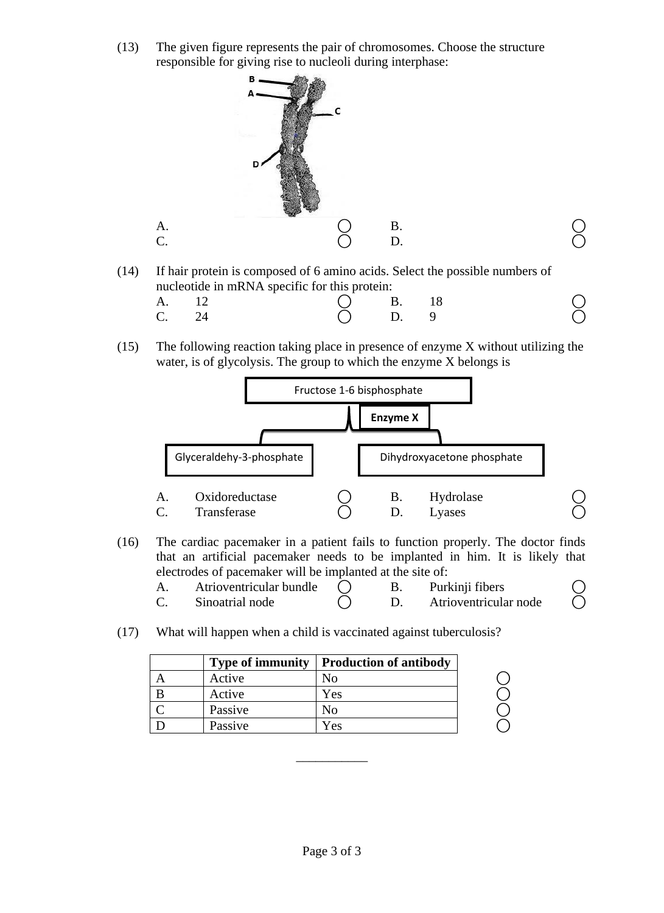(13) The given figure represents the pair of chromosomes. Choose the structure responsible for giving rise to nucleoli during interphase:



(14) If hair protein is composed of 6 amino acids. Select the possible numbers of nucleotide in mRNA specific for this protein:

| A. 12 | $O$ B. 18 |  |  |
|-------|-----------|--|--|
| C. 24 | $O$ D. 9  |  |  |

(15) The following reaction taking place in presence of enzyme X without utilizing the water, is of glycolysis. The group to which the enzyme X belongs is



(16) The cardiac pacemaker in a patient fails to function properly. The doctor finds that an artificial pacemaker needs to be implanted in him. It is likely that electrodes of pacemaker will be implanted at the site of:

| Atrioventricular bundle |  | Purkinji fibers       |  |
|-------------------------|--|-----------------------|--|
| Sinoatrial node         |  | Atrioventricular node |  |

(17) What will happen when a child is vaccinated against tuberculosis?

| <b>Type of immunity</b> | <b>Production of antibody</b> |  |
|-------------------------|-------------------------------|--|
| Active                  |                               |  |
| Active                  | Yes                           |  |
| Passive                 | ΝΩ                            |  |
| Passive                 | Yes                           |  |

\_\_\_\_\_\_\_\_\_\_\_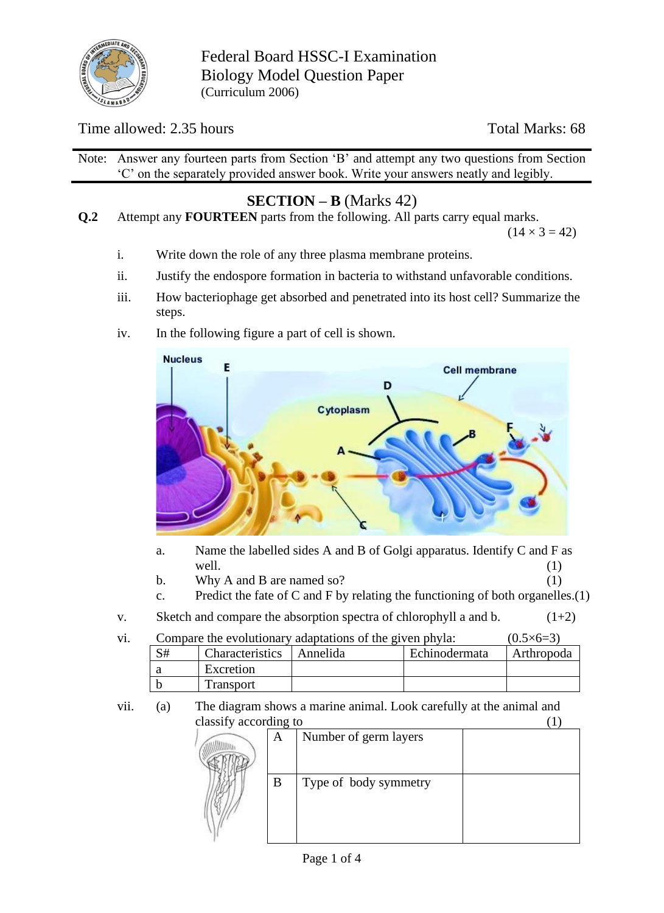

Federal Board HSSC-I Examination Biology Model Question Paper (Curriculum 2006)

### Time allowed: 2.35 hours Total Marks: 68

Note: Answer any fourteen parts from Section 'B' and attempt any two questions from Section 'C' on the separately provided answer book. Write your answers neatly and legibly.

## **SECTION – B** (Marks 42)

**Q.2** Attempt any **FOURTEEN** parts from the following. All parts carry equal marks.

 $(14 \times 3 = 42)$ 

- i. Write down the role of any three plasma membrane proteins.
- ii. Justify the endospore formation in bacteria to withstand unfavorable conditions.
- iii. How bacteriophage get absorbed and penetrated into its host cell? Summarize the steps.
- iv. In the following figure a part of cell is shown.



- a. Name the labelled sides A and B of Golgi apparatus. Identify C and F as well.  $(1)$
- b. Why A and B are named so?  $(1)$
- c. Predict the fate of C and F by relating the functioning of both organelles. $(1)$
- v. Sketch and compare the absorption spectra of chlorophyll a and b.  $(1+2)$

| Vİ. | Compare the evolutionary adaptations of the given phyla: | $(0.5\times 6=3)$          |               |            |
|-----|----------------------------------------------------------|----------------------------|---------------|------------|
|     | S#                                                       | Characteristics   Annelida | Echinodermata | Arthropoda |
|     | a                                                        | Excretion                  |               |            |
|     |                                                          | <b>Transport</b>           |               |            |

vii. (a) The diagram shows a marine animal. Look carefully at the animal and classify according to (1)

| A | Number of germ layers |  |
|---|-----------------------|--|
|   | Type of body symmetry |  |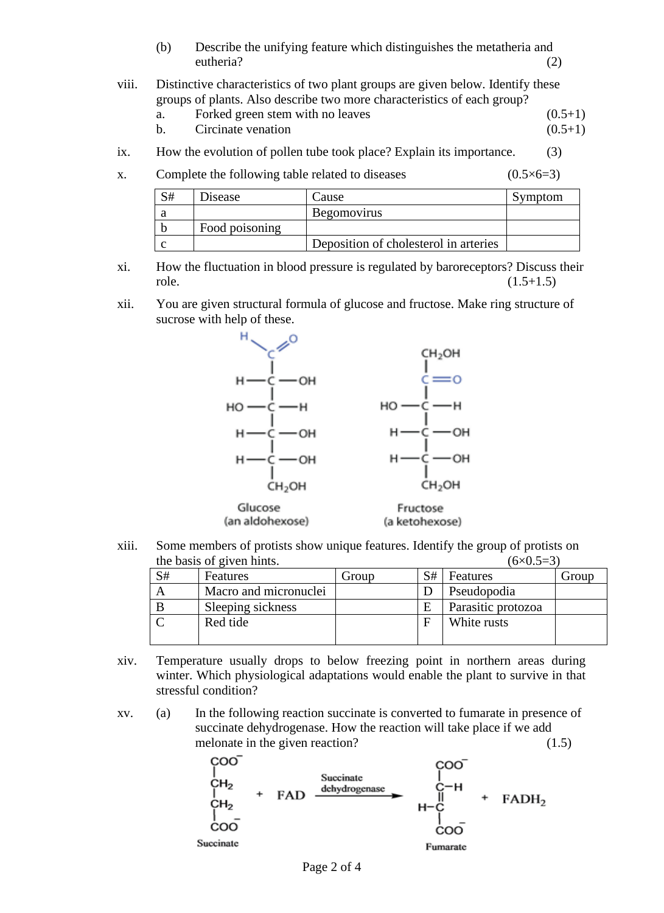- (b) Describe the unifying feature which distinguishes the metatheria and eutheria? (2)
- viii. Distinctive characteristics of two plant groups are given below. Identify these groups of plants. Also describe two more characteristics of each group?
	- a. Forked green stem with no leaves  $(0.5+1)$
	- b. Circinate venation  $(0.5+1)$
- ix. How the evolution of pollen tube took place? Explain its importance. (3)
- x. Complete the following table related to diseases  $(0.5 \times 6=3)$

| S# | Disease        | Cause                                 | Symptom |
|----|----------------|---------------------------------------|---------|
|    |                | <b>Begomovirus</b>                    |         |
|    | Food poisoning |                                       |         |
|    |                | Deposition of cholesterol in arteries |         |

- xi. How the fluctuation in blood pressure is regulated by baroreceptors? Discuss their role.  $(1.5+1.5)$
- xii. You are given structural formula of glucose and fructose. Make ring structure of sucrose with help of these.



xiii. Some members of protists show unique features. Identify the group of protists on the basis of given hints  $(6\times0.5=3)$ 

|    | the basis of given millio. | \ \ \ \ \ \ \ .J — J I |    |                    |       |
|----|----------------------------|------------------------|----|--------------------|-------|
| S# | <b>Features</b>            | Group                  | S# | Features           | Group |
|    | Macro and micronuclei      |                        |    | Pseudopodia        |       |
|    | Sleeping sickness          |                        |    | Parasitic protozoa |       |
|    | Red tide                   |                        |    | White rusts        |       |
|    |                            |                        |    |                    |       |

- xiv. Temperature usually drops to below freezing point in northern areas during winter. Which physiological adaptations would enable the plant to survive in that stressful condition?
- xv. (a) In the following reaction succinate is converted to fumarate in presence of succinate dehydrogenase. How the reaction will take place if we add melonate in the given reaction? (1.5)

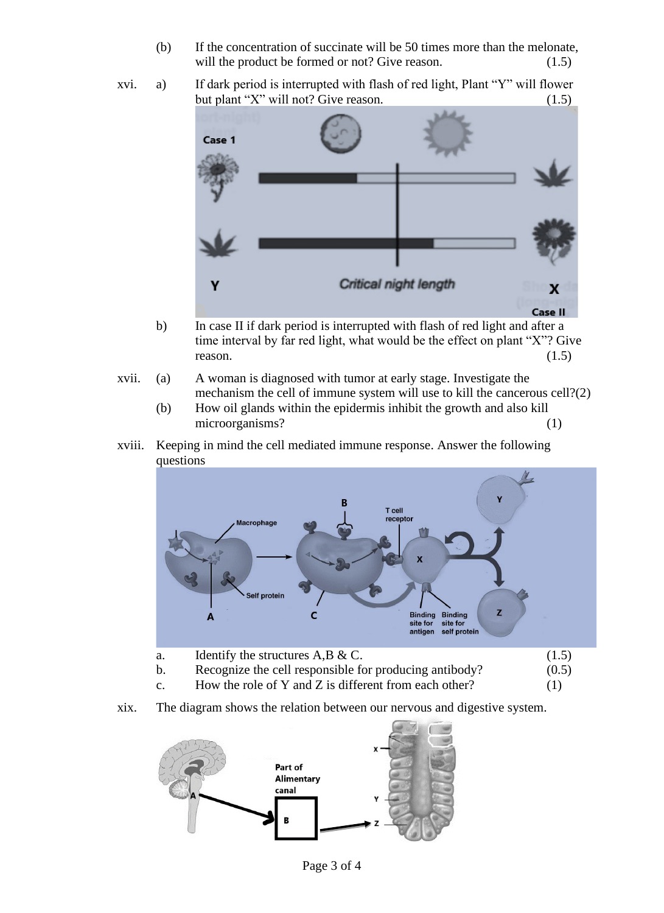- (b) If the concentration of succinate will be 50 times more than the melonate, will the product be formed or not? Give reason. (1.5)
- xvi. a) If dark period is interrupted with flash of red light, Plant "Y" will flower but plant "X" will not? Give reason. (1.5)



- b) In case II if dark period is interrupted with flash of red light and after a time interval by far red light, what would be the effect on plant "X"? Give reason.  $(1.5)$
- xvii. (a) A woman is diagnosed with tumor at early stage. Investigate the mechanism the cell of immune system will use to kill the cancerous cell?(2)
	- (b) How oil glands within the epidermis inhibit the growth and also kill microorganisms? (1)
- xviii. Keeping in mind the cell mediated immune response. Answer the following questions



xix. The diagram shows the relation between our nervous and digestive system.

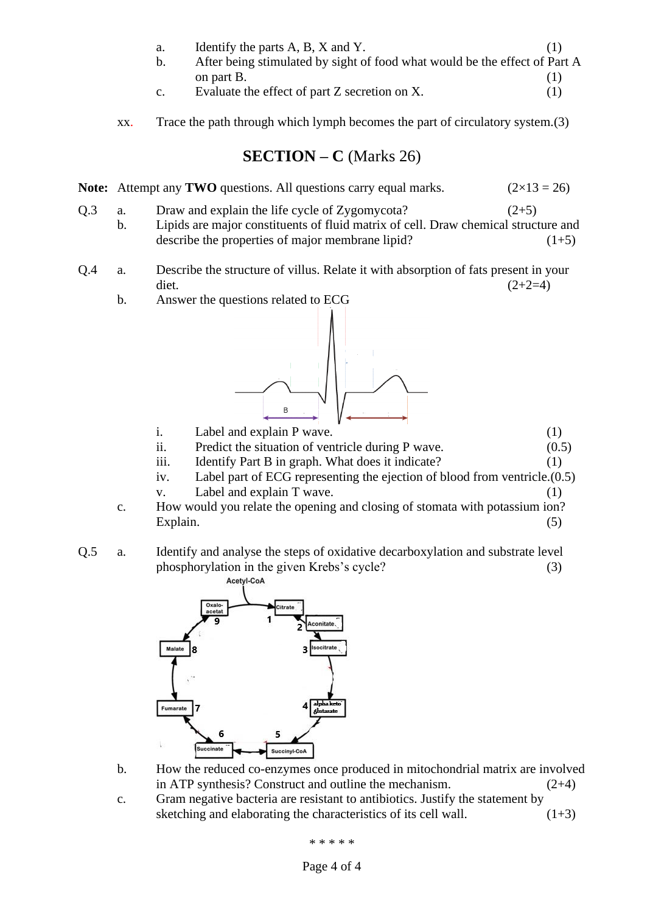- a. Identify the parts  $A, B, X$  and  $Y$ . (1)
- b. After being stimulated by sight of food what would be the effect of Part A on part B.  $(1)$
- c. Evaluate the effect of part  $Z$  secretion on  $X$ . (1)
- xx. Trace the path through which lymph becomes the part of circulatory system.(3)

**SECTION – C** (Marks 26)

**Note:** Attempt any **TWO** questions. All questions carry equal marks.  $(2 \times 13 = 26)$ 

- Q.3 a. Draw and explain the life cycle of Zygomycota? (2+5) b. Lipids are major constituents of fluid matrix of cell. Draw chemical structure and describe the properties of major membrane lipid?  $(1+5)$
- Q.4 a. Describe the structure of villus. Relate it with absorption of fats present in your diet.  $(2+2=4)$ 
	- b. Answer the questions related to ECG



- i. Label and explain P wave. (1)
- ii. Predict the situation of ventricle during P wave.  $(0.5)$
- iii. Identify Part B in graph. What does it indicate? (1)
- iv. Label part of ECG representing the ejection of blood from ventricle.(0.5)
- v. Label and explain T wave. (1)
- c. How would you relate the opening and closing of stomata with potassium ion? Explain. (5)
- Q.5 a. Identify and analyse the steps of oxidative decarboxylation and substrate level phosphorylation in the given Krebs's cycle? (3)



- b. How the reduced co-enzymes once produced in mitochondrial matrix are involved in ATP synthesis? Construct and outline the mechanism. (2+4)
- c. Gram negative bacteria are resistant to antibiotics. Justify the statement by sketching and elaborating the characteristics of its cell wall.  $(1+3)$

\* \* \* \* \*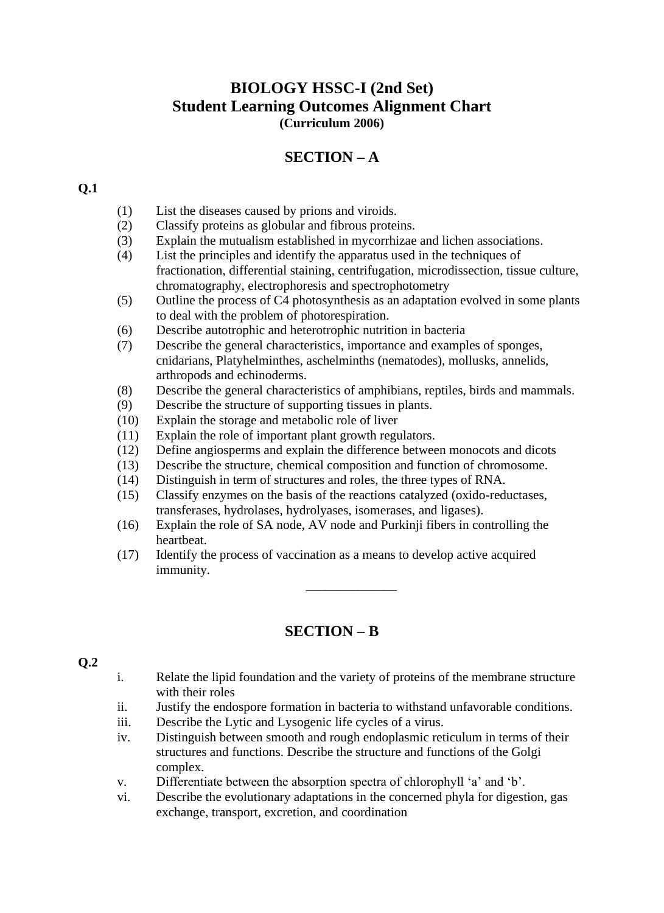### **BIOLOGY HSSC-I (2nd Set) Student Learning Outcomes Alignment Chart (Curriculum 2006)**

### **SECTION – A**

#### **Q.1**

- (1) List the diseases caused by prions and viroids.
- (2) Classify proteins as globular and fibrous proteins.
- (3) Explain the mutualism established in mycorrhizae and lichen associations.
- (4) List the principles and identify the apparatus used in the techniques of fractionation, differential staining, centrifugation, microdissection, tissue culture, chromatography, electrophoresis and spectrophotometry
- (5) Outline the process of C4 photosynthesis as an adaptation evolved in some plants to deal with the problem of photorespiration.
- (6) Describe autotrophic and heterotrophic nutrition in bacteria
- (7) Describe the general characteristics, importance and examples of sponges, cnidarians, Platyhelminthes, aschelminths (nematodes), mollusks, annelids, arthropods and echinoderms.
- (8) Describe the general characteristics of amphibians, reptiles, birds and mammals.
- (9) Describe the structure of supporting tissues in plants.
- (10) Explain the storage and metabolic role of liver
- (11) Explain the role of important plant growth regulators.
- (12) Define angiosperms and explain the difference between monocots and dicots
- (13) Describe the structure, chemical composition and function of chromosome.
- (14) Distinguish in term of structures and roles, the three types of RNA.
- (15) Classify enzymes on the basis of the reactions catalyzed (oxido-reductases, transferases, hydrolases, hydrolyases, isomerases, and ligases).
- (16) Explain the role of SA node, AV node and Purkinji fibers in controlling the heartbeat.
- (17) Identify the process of vaccination as a means to develop active acquired immunity.

### **SECTION – B**

#### **Q.2**

i. Relate the lipid foundation and the variety of proteins of the membrane structure with their roles

\_\_\_\_\_\_\_\_\_\_\_\_\_\_

- ii. Justify the endospore formation in bacteria to withstand unfavorable conditions.
- iii. Describe the Lytic and Lysogenic life cycles of a virus.
- iv. Distinguish between smooth and rough endoplasmic reticulum in terms of their structures and functions. Describe the structure and functions of the Golgi complex.
- v. Differentiate between the absorption spectra of chlorophyll 'a' and 'b'.
- vi. Describe the evolutionary adaptations in the concerned phyla for digestion, gas exchange, transport, excretion, and coordination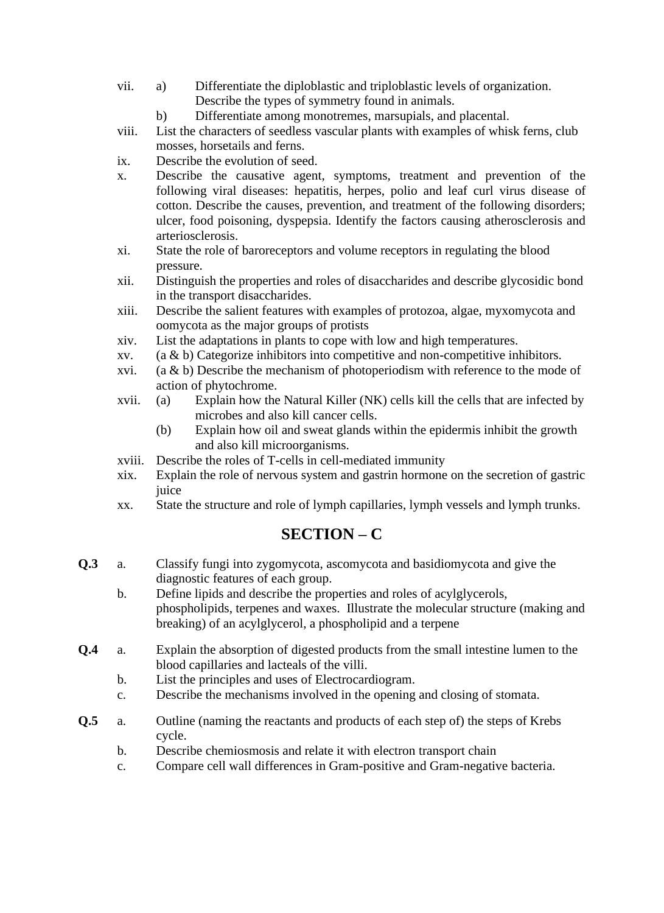- vii. a) Differentiate the diploblastic and triploblastic levels of organization. Describe the types of symmetry found in animals.
	- b) Differentiate among monotremes, marsupials, and placental.
- viii. List the characters of seedless vascular plants with examples of whisk ferns, club mosses, horsetails and ferns.
- ix. Describe the evolution of seed.
- x. Describe the causative agent, symptoms, treatment and prevention of the following viral diseases: hepatitis, herpes, polio and leaf curl virus disease of cotton. Describe the causes, prevention, and treatment of the following disorders; ulcer, food poisoning, dyspepsia. Identify the factors causing atherosclerosis and arteriosclerosis.
- xi. State the role of baroreceptors and volume receptors in regulating the blood pressure.
- xii. Distinguish the properties and roles of disaccharides and describe glycosidic bond in the transport disaccharides.
- xiii. Describe the salient features with examples of protozoa, algae, myxomycota and oomycota as the major groups of protists
- xiv. List the adaptations in plants to cope with low and high temperatures.
- xv.  $(a & b)$  Categorize inhibitors into competitive and non-competitive inhibitors.
- xvi. (a  $\&$  b) Describe the mechanism of photoperiodism with reference to the mode of action of phytochrome.
- xvii. (a) Explain how the Natural Killer (NK) cells kill the cells that are infected by microbes and also kill cancer cells.
	- (b) Explain how oil and sweat glands within the epidermis inhibit the growth and also kill microorganisms.
- xviii. Describe the roles of T-cells in cell-mediated immunity
- xix. Explain the role of nervous system and gastrin hormone on the secretion of gastric juice
- xx. State the structure and role of lymph capillaries, lymph vessels and lymph trunks.

## **SECTION – C**

- **Q.3** a. Classify fungi into zygomycota, ascomycota and basidiomycota and give the diagnostic features of each group.
	- b. Define lipids and describe the properties and roles of acylglycerols, phospholipids, terpenes and waxes. Illustrate the molecular structure (making and breaking) of an acylglycerol, a phospholipid and a terpene
- **Q.4** a. Explain the absorption of digested products from the small intestine lumen to the blood capillaries and lacteals of the villi.
	- b. List the principles and uses of Electrocardiogram.
	- c. Describe the mechanisms involved in the opening and closing of stomata.
- **Q.5** a. Outline (naming the reactants and products of each step of) the steps of Krebs cycle.
	- b. Describe chemiosmosis and relate it with electron transport chain
	- c. Compare cell wall differences in Gram-positive and Gram-negative bacteria.